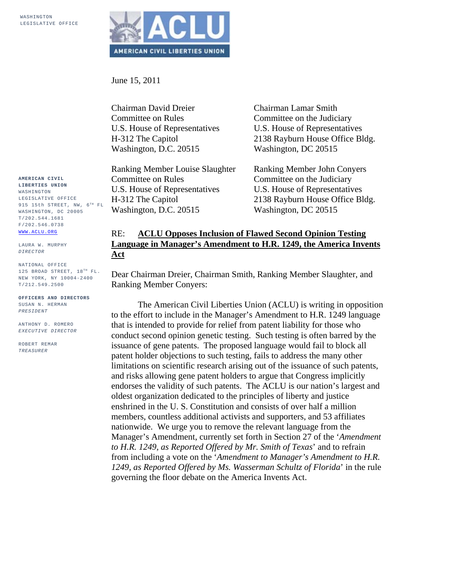

June 15, 2011

Chairman David Dreier Committee on Rules U.S. House of Representatives H-312 The Capitol Washington, D.C. 20515

Ranking Member Louise Slaughter Committee on Rules U.S. House of Representatives H-312 The Capitol Washington, D.C. 20515

Chairman Lamar Smith Committee on the Judiciary U.S. House of Representatives 2138 Rayburn House Office Bldg. Washington, DC 20515

Ranking Member John Conyers Committee on the Judiciary U.S. House of Representatives 2138 Rayburn House Office Bldg. Washington, DC 20515

## RE: **ACLU Opposes Inclusion of Flawed Second Opinion Testing Language in Manager's Amendment to H.R. 1249, the America Invents Act**

Dear Chairman Dreier, Chairman Smith, Ranking Member Slaughter, and Ranking Member Conyers:

The American Civil Liberties Union (ACLU) is writing in opposition to the effort to include in the Manager's Amendment to H.R. 1249 language that is intended to provide for relief from patent liability for those who conduct second opinion genetic testing. Such testing is often barred by the issuance of gene patents. The proposed language would fail to block all patent holder objections to such testing, fails to address the many other limitations on scientific research arising out of the issuance of such patents, and risks allowing gene patent holders to argue that Congress implicitly endorses the validity of such patents. The ACLU is our nation's largest and oldest organization dedicated to the principles of liberty and justice enshrined in the U. S. Constitution and consists of over half a million members, countless additional activists and supporters, and 53 affiliates nationwide. We urge you to remove the relevant language from the Manager's Amendment, currently set forth in Section 27 of the '*Amendment to H.R. 1249, as Reported Offered by Mr. Smith of Texas*' and to refrain from including a vote on the '*Amendment to Manager's Amendment to H.R. 1249, as Reported Offered by Ms. Wasserman Schultz of Florida*' in the rule governing the floor debate on the America Invents Act.

**AMERICAN CIVIL LIBERTIES UNION** WASHINGTON LEGISLATIVE OFFICE 915 15th STREET, NW,  $6^{TH}$  FL WASHINGTON, DC 20005 T/202.544.1681 F/202.546.0738 WWW.ACLU.ORG

LAURA W. MURPHY *DIRECTOR* 

NATIONAL OFFICE 125 BROAD STREET, 18TH FL. NEW YORK, NY 10004-2400 T/212.549.2500

**OFFICERS AND DIRECTORS** SUSAN N. HERMAN *PRESIDENT* 

ANTHONY D. ROMERO *EXECUTIVE DIRECTOR* 

ROBERT REMAR *TREASURER*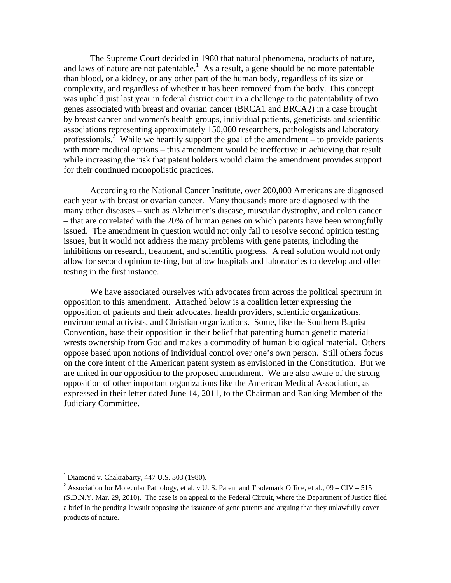The Supreme Court decided in 1980 that natural phenomena, products of nature, and laws of nature are not patentable.<sup>1</sup> As a result, a gene should be no more patentable than blood, or a kidney, or any other part of the human body, regardless of its size or complexity, and regardless of whether it has been removed from the body. This concept was upheld just last year in federal district court in a challenge to the patentability of two genes associated with breast and ovarian cancer (BRCA1 and BRCA2) in a case brought by breast cancer and women's health groups, individual patients, geneticists and scientific associations representing approximately 150,000 researchers, pathologists and laboratory professionals.<sup>2</sup> While we heartily support the goal of the amendment – to provide patients with more medical options – this amendment would be ineffective in achieving that result while increasing the risk that patent holders would claim the amendment provides support for their continued monopolistic practices.

According to the National Cancer Institute, over 200,000 Americans are diagnosed each year with breast or ovarian cancer. Many thousands more are diagnosed with the many other diseases – such as Alzheimer's disease, muscular dystrophy, and colon cancer – that are correlated with the 20% of human genes on which patents have been wrongfully issued. The amendment in question would not only fail to resolve second opinion testing issues, but it would not address the many problems with gene patents, including the inhibitions on research, treatment, and scientific progress. A real solution would not only allow for second opinion testing, but allow hospitals and laboratories to develop and offer testing in the first instance.

We have associated ourselves with advocates from across the political spectrum in opposition to this amendment. Attached below is a coalition letter expressing the opposition of patients and their advocates, health providers, scientific organizations, environmental activists, and Christian organizations. Some, like the Southern Baptist Convention, base their opposition in their belief that patenting human genetic material wrests ownership from God and makes a commodity of human biological material. Others oppose based upon notions of individual control over one's own person. Still others focus on the core intent of the American patent system as envisioned in the Constitution. But we are united in our opposition to the proposed amendment. We are also aware of the strong opposition of other important organizations like the American Medical Association, as expressed in their letter dated June 14, 2011, to the Chairman and Ranking Member of the Judiciary Committee.

 $\overline{a}$ 

 $<sup>1</sup>$  Diamond v. Chakrabarty, 447 U.S. 303 (1980).</sup>

<sup>&</sup>lt;sup>2</sup> Association for Molecular Pathology, et al. v U. S. Patent and Trademark Office, et al.,  $09 - CIV - 515$ (S.D.N.Y. Mar. 29, 2010). The case is on appeal to the Federal Circuit, where the Department of Justice filed a brief in the pending lawsuit opposing the issuance of gene patents and arguing that they unlawfully cover products of nature.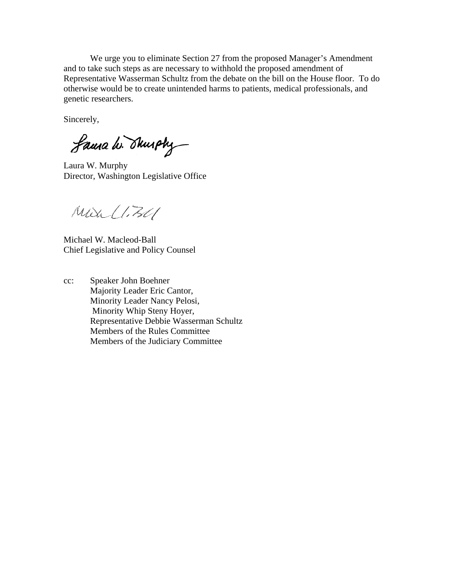We urge you to eliminate Section 27 from the proposed Manager's Amendment and to take such steps as are necessary to withhold the proposed amendment of Representative Wasserman Schultz from the debate on the bill on the House floor. To do otherwise would be to create unintended harms to patients, medical professionals, and genetic researchers.

Sincerely,

Laura W. Shurphy

Laura W. Murphy Director, Washington Legislative Office

 $M\alpha$  (1.30)

Michael W. Macleod-Ball Chief Legislative and Policy Counsel

cc: Speaker John Boehner Majority Leader Eric Cantor, Minority Leader Nancy Pelosi, Minority Whip Steny Hoyer, Representative Debbie Wasserman Schultz Members of the Rules Committee Members of the Judiciary Committee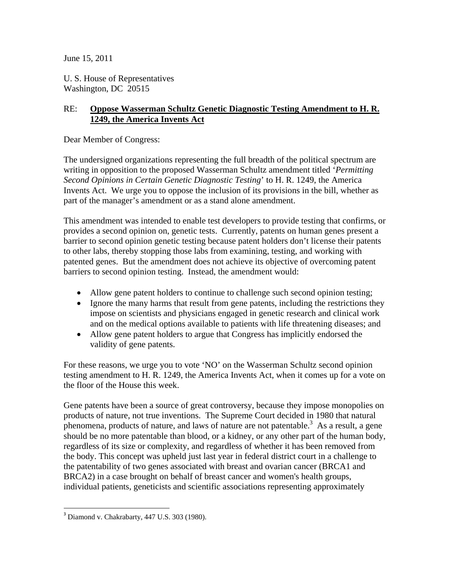June 15, 2011

U. S. House of Representatives Washington, DC 20515

## RE: **Oppose Wasserman Schultz Genetic Diagnostic Testing Amendment to H. R. 1249, the America Invents Act**

Dear Member of Congress:

The undersigned organizations representing the full breadth of the political spectrum are writing in opposition to the proposed Wasserman Schultz amendment titled '*Permitting Second Opinions in Certain Genetic Diagnostic Testing*' to H. R. 1249, the America Invents Act. We urge you to oppose the inclusion of its provisions in the bill, whether as part of the manager's amendment or as a stand alone amendment.

This amendment was intended to enable test developers to provide testing that confirms, or provides a second opinion on, genetic tests. Currently, patents on human genes present a barrier to second opinion genetic testing because patent holders don't license their patents to other labs, thereby stopping those labs from examining, testing, and working with patented genes. But the amendment does not achieve its objective of overcoming patent barriers to second opinion testing. Instead, the amendment would:

- Allow gene patent holders to continue to challenge such second opinion testing;
- Ignore the many harms that result from gene patents, including the restrictions they impose on scientists and physicians engaged in genetic research and clinical work and on the medical options available to patients with life threatening diseases; and
- Allow gene patent holders to argue that Congress has implicitly endorsed the validity of gene patents.

For these reasons, we urge you to vote 'NO' on the Wasserman Schultz second opinion testing amendment to H. R. 1249, the America Invents Act, when it comes up for a vote on the floor of the House this week.

Gene patents have been a source of great controversy, because they impose monopolies on products of nature, not true inventions. The Supreme Court decided in 1980 that natural phenomena, products of nature, and laws of nature are not patentable.<sup>3</sup> As a result, a gene should be no more patentable than blood, or a kidney, or any other part of the human body, regardless of its size or complexity, and regardless of whether it has been removed from the body. This concept was upheld just last year in federal district court in a challenge to the patentability of two genes associated with breast and ovarian cancer (BRCA1 and BRCA2) in a case brought on behalf of breast cancer and women's health groups, individual patients, geneticists and scientific associations representing approximately

 $\overline{a}$ 

<sup>3</sup> Diamond v. Chakrabarty, 447 U.S. 303 (1980).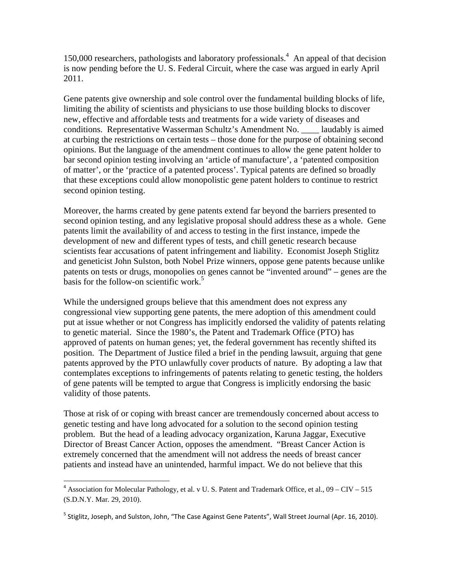150,000 researchers, pathologists and laboratory professionals.<sup>4</sup> An appeal of that decision is now pending before the U. S. Federal Circuit, where the case was argued in early April 2011.

Gene patents give ownership and sole control over the fundamental building blocks of life, limiting the ability of scientists and physicians to use those building blocks to discover new, effective and affordable tests and treatments for a wide variety of diseases and conditions. Representative Wasserman Schultz's Amendment No. \_\_\_\_ laudably is aimed at curbing the restrictions on certain tests – those done for the purpose of obtaining second opinions. But the language of the amendment continues to allow the gene patent holder to bar second opinion testing involving an 'article of manufacture', a 'patented composition of matter', or the 'practice of a patented process'. Typical patents are defined so broadly that these exceptions could allow monopolistic gene patent holders to continue to restrict second opinion testing.

Moreover, the harms created by gene patents extend far beyond the barriers presented to second opinion testing, and any legislative proposal should address these as a whole. Gene patents limit the availability of and access to testing in the first instance, impede the development of new and different types of tests, and chill genetic research because scientists fear accusations of patent infringement and liability. Economist Joseph Stiglitz and geneticist John Sulston, both Nobel Prize winners, oppose gene patents because unlike patents on tests or drugs, monopolies on genes cannot be "invented around" – genes are the basis for the follow-on scientific work.<sup>5</sup>

While the undersigned groups believe that this amendment does not express any congressional view supporting gene patents, the mere adoption of this amendment could put at issue whether or not Congress has implicitly endorsed the validity of patents relating to genetic material. Since the 1980's, the Patent and Trademark Office (PTO) has approved of patents on human genes; yet, the federal government has recently shifted its position. The Department of Justice filed a brief in the pending lawsuit, arguing that gene patents approved by the PTO unlawfully cover products of nature. By adopting a law that contemplates exceptions to infringements of patents relating to genetic testing, the holders of gene patents will be tempted to argue that Congress is implicitly endorsing the basic validity of those patents.

Those at risk of or coping with breast cancer are tremendously concerned about access to genetic testing and have long advocated for a solution to the second opinion testing problem. But the head of a leading advocacy organization, Karuna Jaggar, Executive Director of Breast Cancer Action, opposes the amendment. "Breast Cancer Action is extremely concerned that the amendment will not address the needs of breast cancer patients and instead have an unintended, harmful impact. We do not believe that this

 $\overline{a}$ 

<sup>&</sup>lt;sup>4</sup> Association for Molecular Pathology, et al. v U. S. Patent and Trademark Office, et al.,  $09 - CIV - 515$ (S.D.N.Y. Mar. 29, 2010).

<sup>&</sup>lt;sup>5</sup> Stiglitz, Joseph, and Sulston, John, "The Case Against Gene Patents", Wall Street Journal (Apr. 16, 2010).